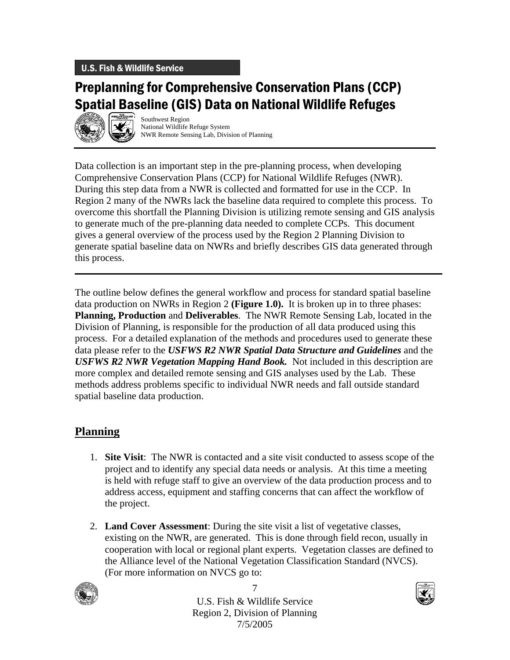## U.S. Fish & Wildlife Service

# Preplanning for Comprehensive Conservation Plans (CCP) Spatial Baseline (GIS) Data on National Wildlife Refuges



Southwest Region National Wildlife Refuge System NWR Remote Sensing Lab, Division of Planning

Data collection is an important step in the pre-planning process, when developing Comprehensive Conservation Plans (CCP) for National Wildlife Refuges (NWR). During this step data from a NWR is collected and formatted for use in the CCP. In Region 2 many of the NWRs lack the baseline data required to complete this process. To overcome this shortfall the Planning Division is utilizing remote sensing and GIS analysis to generate much of the pre-planning data needed to complete CCPs. This document gives a general overview of the process used by the Region 2 Planning Division to generate spatial baseline data on NWRs and briefly describes GIS data generated through this process.

The outline below defines the general workflow and process for standard spatial baseline data production on NWRs in Region 2 **(Figure 1.0).** It is broken up in to three phases: **Planning, Production** and **Deliverables**. The NWR Remote Sensing Lab, located in the Division of Planning, is responsible for the production of all data produced using this process. For a detailed explanation of the methods and procedures used to generate these data please refer to the *USFWS R2 NWR Spatial Data Structure and Guidelines* and the *USFWS R2 NWR Vegetation Mapping Hand Book.* Not included in this description are more complex and detailed remote sensing and GIS analyses used by the Lab. These methods address problems specific to individual NWR needs and fall outside standard spatial baseline data production.

## **Planning**

- 1. **Site Visit**: The NWR is contacted and a site visit conducted to assess scope of the project and to identify any special data needs or analysis. At this time a meeting is held with refuge staff to give an overview of the data production process and to address access, equipment and staffing concerns that can affect the workflow of the project.
- 2. **Land Cover Assessment**: During the site visit a list of vegetative classes, existing on the NWR, are generated. This is done through field recon, usually in cooperation with local or regional plant experts. Vegetation classes are defined to the Alliance level of the National Vegetation Classification Standard (NVCS). (For more information on NVCS go to:



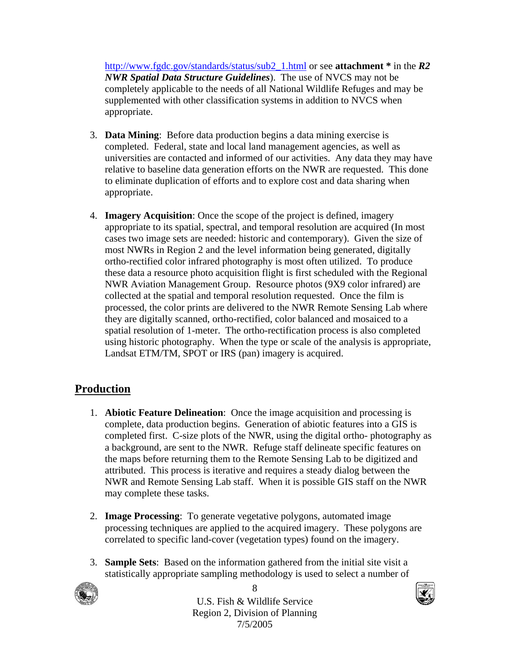http://www.fgdc.gov/standards/status/sub2\_1.html or see **attachment \*** in the *R2 NWR Spatial Data Structure Guidelines*). The use of NVCS may not be completely applicable to the needs of all National Wildlife Refuges and may be supplemented with other classification systems in addition to NVCS when appropriate.

- 3. **Data Mining**: Before data production begins a data mining exercise is completed. Federal, state and local land management agencies, as well as universities are contacted and informed of our activities. Any data they may have relative to baseline data generation efforts on the NWR are requested. This done to eliminate duplication of efforts and to explore cost and data sharing when appropriate.
- 4. **Imagery Acquisition**: Once the scope of the project is defined, imagery appropriate to its spatial, spectral, and temporal resolution are acquired (In most cases two image sets are needed: historic and contemporary). Given the size of most NWRs in Region 2 and the level information being generated, digitally ortho-rectified color infrared photography is most often utilized. To produce these data a resource photo acquisition flight is first scheduled with the Regional NWR Aviation Management Group. Resource photos (9X9 color infrared) are collected at the spatial and temporal resolution requested. Once the film is processed, the color prints are delivered to the NWR Remote Sensing Lab where they are digitally scanned, ortho-rectified, color balanced and mosaiced to a spatial resolution of 1-meter. The ortho-rectification process is also completed using historic photography. When the type or scale of the analysis is appropriate, Landsat ETM/TM, SPOT or IRS (pan) imagery is acquired.

## **Production**

- 1. **Abiotic Feature Delineation**: Once the image acquisition and processing is complete, data production begins. Generation of abiotic features into a GIS is completed first. C-size plots of the NWR, using the digital ortho- photography as a background, are sent to the NWR. Refuge staff delineate specific features on the maps before returning them to the Remote Sensing Lab to be digitized and attributed. This process is iterative and requires a steady dialog between the NWR and Remote Sensing Lab staff. When it is possible GIS staff on the NWR may complete these tasks.
- 2. **Image Processing**: To generate vegetative polygons, automated image processing techniques are applied to the acquired imagery. These polygons are correlated to specific land-cover (vegetation types) found on the imagery.
- 3. **Sample Sets**: Based on the information gathered from the initial site visit a statistically appropriate sampling methodology is used to select a number of



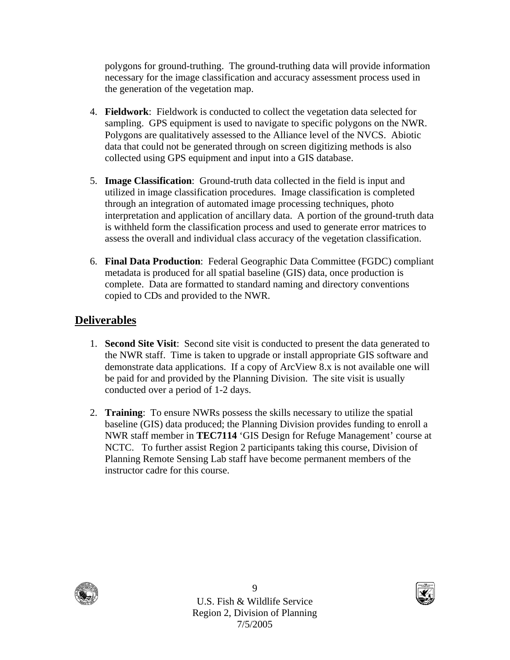polygons for ground-truthing. The ground-truthing data will provide information necessary for the image classification and accuracy assessment process used in the generation of the vegetation map.

- 4. **Fieldwork**: Fieldwork is conducted to collect the vegetation data selected for sampling. GPS equipment is used to navigate to specific polygons on the NWR. Polygons are qualitatively assessed to the Alliance level of the NVCS. Abiotic data that could not be generated through on screen digitizing methods is also collected using GPS equipment and input into a GIS database.
- 5. **Image Classification**: Ground-truth data collected in the field is input and utilized in image classification procedures. Image classification is completed through an integration of automated image processing techniques, photo interpretation and application of ancillary data. A portion of the ground-truth data is withheld form the classification process and used to generate error matrices to assess the overall and individual class accuracy of the vegetation classification.
- 6. **Final Data Production**: Federal Geographic Data Committee (FGDC) compliant metadata is produced for all spatial baseline (GIS) data, once production is complete. Data are formatted to standard naming and directory conventions copied to CDs and provided to the NWR.

## **Deliverables**

- 1. **Second Site Visit**: Second site visit is conducted to present the data generated to the NWR staff. Time is taken to upgrade or install appropriate GIS software and demonstrate data applications. If a copy of ArcView 8.x is not available one will be paid for and provided by the Planning Division. The site visit is usually conducted over a period of 1-2 days.
- 2. **Training**: To ensure NWRs possess the skills necessary to utilize the spatial baseline (GIS) data produced; the Planning Division provides funding to enroll a NWR staff member in **TEC7114** 'GIS Design for Refuge Management' course at NCTC. To further assist Region 2 participants taking this course, Division of Planning Remote Sensing Lab staff have become permanent members of the instructor cadre for this course.



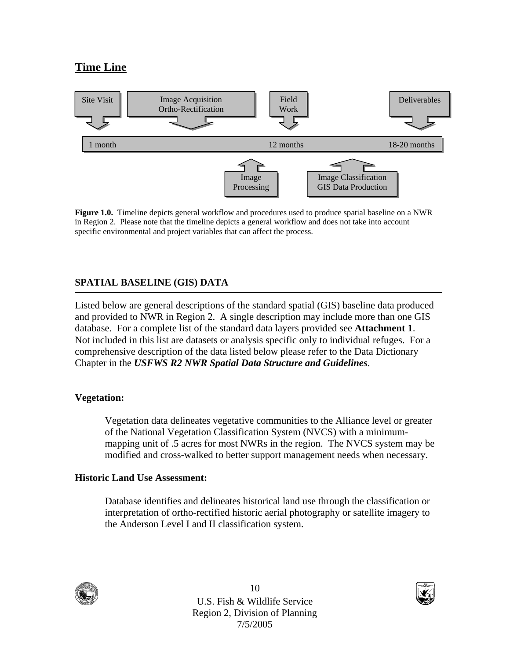## **Time Line**



**Figure 1.0.** Timeline depicts general workflow and procedures used to produce spatial baseline on a NWR in Region 2. Please note that the timeline depicts a general workflow and does not take into account specific environmental and project variables that can affect the process.

## **SPATIAL BASELINE (GIS) DATA**

Listed below are general descriptions of the standard spatial (GIS) baseline data produced and provided to NWR in Region 2. A single description may include more than one GIS database. For a complete list of the standard data layers provided see **Attachment 1**. Not included in this list are datasets or analysis specific only to individual refuges. For a comprehensive description of the data listed below please refer to the Data Dictionary Chapter in the *USFWS R2 NWR Spatial Data Structure and Guidelines*.

## **Vegetation:**

Vegetation data delineates vegetative communities to the Alliance level or greater of the National Vegetation Classification System (NVCS) with a minimummapping unit of .5 acres for most NWRs in the region. The NVCS system may be modified and cross-walked to better support management needs when necessary.

#### **Historic Land Use Assessment:**

Database identifies and delineates historical land use through the classification or interpretation of ortho-rectified historic aerial photography or satellite imagery to the Anderson Level I and II classification system.



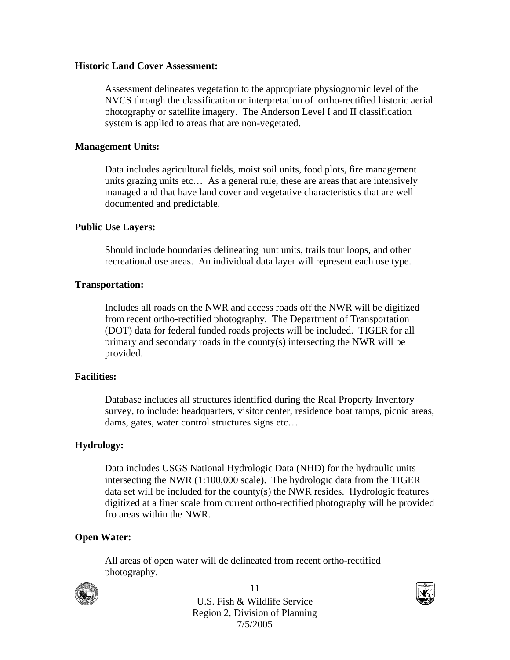#### **Historic Land Cover Assessment:**

Assessment delineates vegetation to the appropriate physiognomic level of the NVCS through the classification or interpretation of ortho-rectified historic aerial photography or satellite imagery. The Anderson Level I and II classification system is applied to areas that are non-vegetated.

#### **Management Units:**

Data includes agricultural fields, moist soil units, food plots, fire management units grazing units etc… As a general rule, these are areas that are intensively managed and that have land cover and vegetative characteristics that are well documented and predictable.

#### **Public Use Layers:**

Should include boundaries delineating hunt units, trails tour loops, and other recreational use areas. An individual data layer will represent each use type.

#### **Transportation:**

Includes all roads on the NWR and access roads off the NWR will be digitized from recent ortho-rectified photography. The Department of Transportation (DOT) data for federal funded roads projects will be included. TIGER for all primary and secondary roads in the county(s) intersecting the NWR will be provided.

#### **Facilities:**

Database includes all structures identified during the Real Property Inventory survey, to include: headquarters, visitor center, residence boat ramps, picnic areas, dams, gates, water control structures signs etc…

#### **Hydrology:**

Data includes USGS National Hydrologic Data (NHD) for the hydraulic units intersecting the NWR (1:100,000 scale). The hydrologic data from the TIGER data set will be included for the county(s) the NWR resides. Hydrologic features digitized at a finer scale from current ortho-rectified photography will be provided fro areas within the NWR.

#### **Open Water:**

All areas of open water will de delineated from recent ortho-rectified photography.



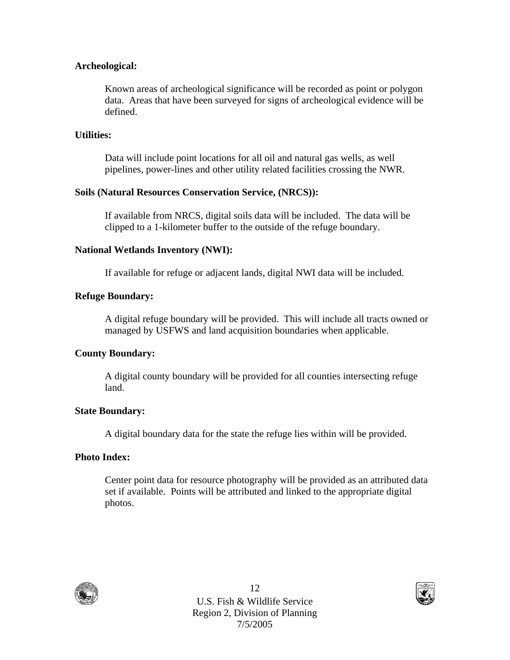### **Archeological:**

Known areas of archeological significance will be recorded as point or polygon data. Areas that have been surveyed for signs of archeological evidence will be defined.

## **Utilities:**

Data will include point locations for all oil and natural gas wells, as well pipelines, power-lines and other utility related facilities crossing the NWR.

#### **Soils (Natural Resources Conservation Service, (NRCS)):**

If available from NRCS, digital soils data will be included. The data will be clipped to a 1-kilometer buffer to the outside of the refuge boundary.

## **National Wetlands Inventory (NWI):**

If available for refuge or adjacent lands, digital NWI data will be included.

## **Refuge Boundary:**

A digital refuge boundary will be provided. This will include all tracts owned or managed by USFWS and land acquisition boundaries when applicable.

## **County Boundary:**

A digital county boundary will be provided for all counties intersecting refuge land.

#### **State Boundary:**

A digital boundary data for the state the refuge lies within will be provided.

#### **Photo Index:**

Center point data for resource photography will be provided as an attributed data set if available. Points will be attributed and linked to the appropriate digital photos.



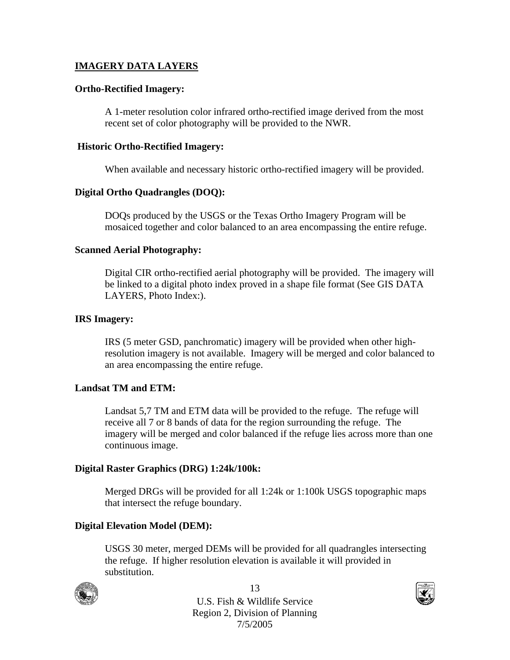## **IMAGERY DATA LAYERS**

#### **Ortho-Rectified Imagery:**

A 1-meter resolution color infrared ortho-rectified image derived from the most recent set of color photography will be provided to the NWR.

#### **Historic Ortho-Rectified Imagery:**

When available and necessary historic ortho-rectified imagery will be provided.

#### **Digital Ortho Quadrangles (DOQ):**

DOQs produced by the USGS or the Texas Ortho Imagery Program will be mosaiced together and color balanced to an area encompassing the entire refuge.

#### **Scanned Aerial Photography:**

Digital CIR ortho-rectified aerial photography will be provided. The imagery will be linked to a digital photo index proved in a shape file format (See GIS DATA LAYERS, Photo Index:).

#### **IRS Imagery:**

IRS (5 meter GSD, panchromatic) imagery will be provided when other highresolution imagery is not available. Imagery will be merged and color balanced to an area encompassing the entire refuge.

#### **Landsat TM and ETM:**

Landsat 5,7 TM and ETM data will be provided to the refuge. The refuge will receive all 7 or 8 bands of data for the region surrounding the refuge. The imagery will be merged and color balanced if the refuge lies across more than one continuous image.

#### **Digital Raster Graphics (DRG) 1:24k/100k:**

Merged DRGs will be provided for all 1:24k or 1:100k USGS topographic maps that intersect the refuge boundary.

#### **Digital Elevation Model (DEM):**

USGS 30 meter, merged DEMs will be provided for all quadrangles intersecting the refuge. If higher resolution elevation is available it will provided in substitution.



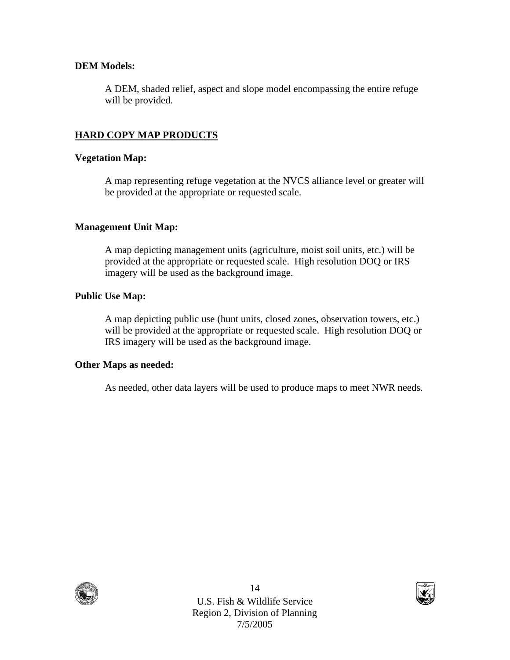## **DEM Models:**

A DEM, shaded relief, aspect and slope model encompassing the entire refuge will be provided.

## **HARD COPY MAP PRODUCTS**

### **Vegetation Map:**

A map representing refuge vegetation at the NVCS alliance level or greater will be provided at the appropriate or requested scale.

## **Management Unit Map:**

A map depicting management units (agriculture, moist soil units, etc.) will be provided at the appropriate or requested scale. High resolution DOQ or IRS imagery will be used as the background image.

## **Public Use Map:**

A map depicting public use (hunt units, closed zones, observation towers, etc.) will be provided at the appropriate or requested scale. High resolution DOQ or IRS imagery will be used as the background image.

#### **Other Maps as needed:**

As needed, other data layers will be used to produce maps to meet NWR needs.



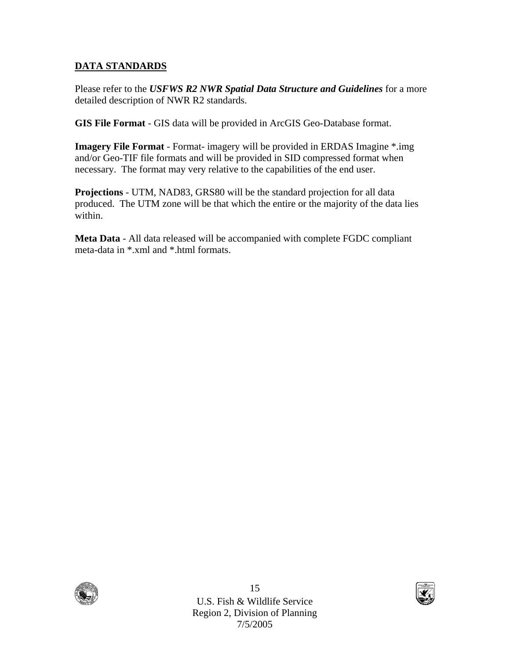## **DATA STANDARDS**

Please refer to the *USFWS R2 NWR Spatial Data Structure and Guidelines* for a more detailed description of NWR R2 standards.

**GIS File Format** - GIS data will be provided in ArcGIS Geo-Database format.

**Imagery File Format** - Format- imagery will be provided in ERDAS Imagine \*.img and/or Geo-TIF file formats and will be provided in SID compressed format when necessary. The format may very relative to the capabilities of the end user.

**Projections** - UTM, NAD83, GRS80 will be the standard projection for all data produced. The UTM zone will be that which the entire or the majority of the data lies within.

**Meta Data** - All data released will be accompanied with complete FGDC compliant meta-data in \*.xml and \*.html formats.



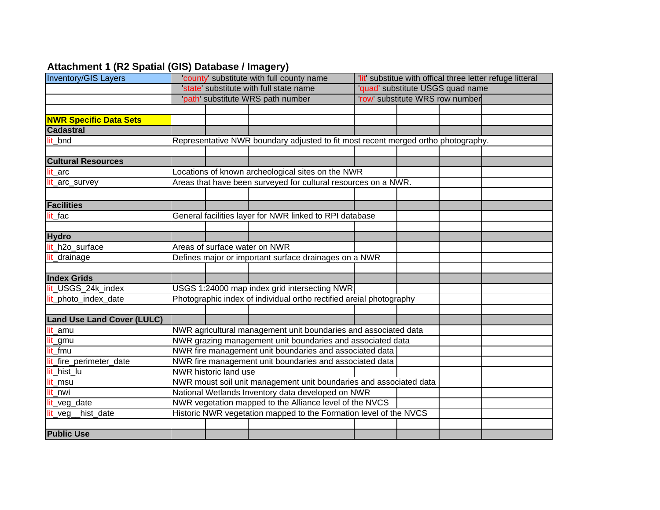## **Attachment 1 (R2 Spatial (GIS) Database / Imagery)**

| <b>Inventory/GIS Layers</b>       |                                                                                                                     | county' substitute with full county name |                                              |                                  | 'lit' substitue with offical three letter refuge litteral |  |  |  |
|-----------------------------------|---------------------------------------------------------------------------------------------------------------------|------------------------------------------|----------------------------------------------|----------------------------------|-----------------------------------------------------------|--|--|--|
|                                   | state' substitute with full state name<br>path' substitute WRS path number                                          |                                          |                                              | 'quad' substitute USGS quad name |                                                           |  |  |  |
|                                   |                                                                                                                     |                                          |                                              | 'row' substitute WRS row number  |                                                           |  |  |  |
|                                   |                                                                                                                     |                                          |                                              |                                  |                                                           |  |  |  |
| <b>NWR Specific Data Sets</b>     |                                                                                                                     |                                          |                                              |                                  |                                                           |  |  |  |
| <b>Cadastral</b>                  |                                                                                                                     |                                          |                                              |                                  |                                                           |  |  |  |
| lit bnd                           | Representative NWR boundary adjusted to fit most recent merged ortho photography.                                   |                                          |                                              |                                  |                                                           |  |  |  |
| <b>Cultural Resources</b>         |                                                                                                                     |                                          |                                              |                                  |                                                           |  |  |  |
| lit arc                           |                                                                                                                     |                                          |                                              |                                  |                                                           |  |  |  |
| lit_arc_survey                    | Locations of known archeological sites on the NWR<br>Areas that have been surveyed for cultural resources on a NWR. |                                          |                                              |                                  |                                                           |  |  |  |
|                                   |                                                                                                                     |                                          |                                              |                                  |                                                           |  |  |  |
| <b>Facilities</b>                 |                                                                                                                     |                                          |                                              |                                  |                                                           |  |  |  |
| lit_fac                           | General facilities layer for NWR linked to RPI database                                                             |                                          |                                              |                                  |                                                           |  |  |  |
|                                   |                                                                                                                     |                                          |                                              |                                  |                                                           |  |  |  |
| <b>Hydro</b>                      |                                                                                                                     |                                          |                                              |                                  |                                                           |  |  |  |
| lit_h2o_surface                   | Areas of surface water on NWR                                                                                       |                                          |                                              |                                  |                                                           |  |  |  |
| lit_drainage                      | Defines major or important surface drainages on a NWR                                                               |                                          |                                              |                                  |                                                           |  |  |  |
| <b>Index Grids</b>                |                                                                                                                     |                                          |                                              |                                  |                                                           |  |  |  |
| lit_USGS_24k_index                |                                                                                                                     |                                          | USGS 1:24000 map index grid intersecting NWR |                                  |                                                           |  |  |  |
| lit_photo_index_date              | Photographic index of individual ortho rectified areial photography                                                 |                                          |                                              |                                  |                                                           |  |  |  |
|                                   |                                                                                                                     |                                          |                                              |                                  |                                                           |  |  |  |
| <b>Land Use Land Cover (LULC)</b> |                                                                                                                     |                                          |                                              |                                  |                                                           |  |  |  |
| lit_amu                           | NWR agricultural management unit boundaries and associated data                                                     |                                          |                                              |                                  |                                                           |  |  |  |
| lit_gmu                           | NWR grazing management unit boundaries and associated data                                                          |                                          |                                              |                                  |                                                           |  |  |  |
| lit_fmu                           | NWR fire management unit boundaries and associated data                                                             |                                          |                                              |                                  |                                                           |  |  |  |
| lit_fire_perimeter_date           | NWR fire management unit boundaries and associated data                                                             |                                          |                                              |                                  |                                                           |  |  |  |
| lit_hist_lu                       |                                                                                                                     | NWR historic land use                    |                                              |                                  |                                                           |  |  |  |
| lit_msu                           | NWR moust soil unit management unit boundaries and associated data                                                  |                                          |                                              |                                  |                                                           |  |  |  |
| lit nwi                           | National Wetlands Inventory data developed on NWR                                                                   |                                          |                                              |                                  |                                                           |  |  |  |
| lit_veg_date                      | NWR vegetation mapped to the Alliance level of the NVCS                                                             |                                          |                                              |                                  |                                                           |  |  |  |
| hist_date<br>lit_veg              | Historic NWR vegetation mapped to the Formation level of the NVCS                                                   |                                          |                                              |                                  |                                                           |  |  |  |
|                                   |                                                                                                                     |                                          |                                              |                                  |                                                           |  |  |  |
| <b>Public Use</b>                 |                                                                                                                     |                                          |                                              |                                  |                                                           |  |  |  |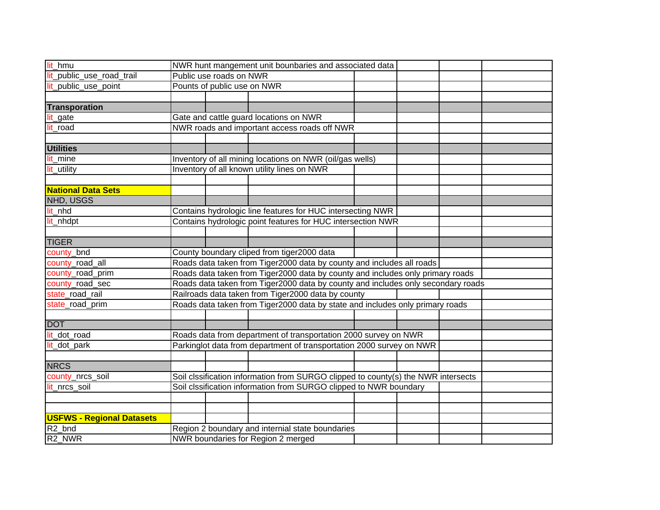| lit_hmu                          | NWR hunt mangement unit bounbaries and associated data                            |                         |                                                                      |  |  |  |  |  |
|----------------------------------|-----------------------------------------------------------------------------------|-------------------------|----------------------------------------------------------------------|--|--|--|--|--|
| lit_public_use_road_trail        |                                                                                   | Public use roads on NWR |                                                                      |  |  |  |  |  |
| lit_public_use_point             | Pounts of public use on NWR                                                       |                         |                                                                      |  |  |  |  |  |
|                                  |                                                                                   |                         |                                                                      |  |  |  |  |  |
| <b>Transporation</b>             |                                                                                   |                         |                                                                      |  |  |  |  |  |
| lit_gate                         |                                                                                   |                         | Gate and cattle guard locations on NWR                               |  |  |  |  |  |
| lit_road                         | NWR roads and important access roads off NWR                                      |                         |                                                                      |  |  |  |  |  |
|                                  |                                                                                   |                         |                                                                      |  |  |  |  |  |
| <b>Utilities</b>                 |                                                                                   |                         |                                                                      |  |  |  |  |  |
| lit_mine                         | Inventory of all mining locations on NWR (oil/gas wells)                          |                         |                                                                      |  |  |  |  |  |
| lit_utility                      | Inventory of all known utility lines on NWR                                       |                         |                                                                      |  |  |  |  |  |
|                                  |                                                                                   |                         |                                                                      |  |  |  |  |  |
| <b>National Data Sets</b>        |                                                                                   |                         |                                                                      |  |  |  |  |  |
| NHD, USGS                        |                                                                                   |                         |                                                                      |  |  |  |  |  |
| lit_nhd                          | Contains hydrologic line features for HUC intersecting NWR                        |                         |                                                                      |  |  |  |  |  |
| lit_nhdpt                        | Contains hydrologic point features for HUC intersection NWR                       |                         |                                                                      |  |  |  |  |  |
|                                  |                                                                                   |                         |                                                                      |  |  |  |  |  |
| <b>TIGER</b>                     |                                                                                   |                         |                                                                      |  |  |  |  |  |
| county_bnd                       |                                                                                   |                         | County boundary cliped from tiger2000 data                           |  |  |  |  |  |
| county_road_all                  | Roads data taken from Tiger2000 data by county and includes all roads             |                         |                                                                      |  |  |  |  |  |
| county_road_prim                 | Roads data taken from Tiger2000 data by county and includes only primary roads    |                         |                                                                      |  |  |  |  |  |
| county_road_sec                  | Roads data taken from Tiger2000 data by county and includes only secondary roads  |                         |                                                                      |  |  |  |  |  |
| state_road_rail                  | Railroads data taken from Tiger2000 data by county                                |                         |                                                                      |  |  |  |  |  |
| state_road_prim                  | Roads data taken from Tiger2000 data by state and includes only primary roads     |                         |                                                                      |  |  |  |  |  |
|                                  |                                                                                   |                         |                                                                      |  |  |  |  |  |
| <b>DOT</b>                       |                                                                                   |                         |                                                                      |  |  |  |  |  |
| lit_dot_road                     | Roads data from department of transportation 2000 survey on NWR                   |                         |                                                                      |  |  |  |  |  |
| lit_dot_park                     |                                                                                   |                         | Parkinglot data from department of transportation 2000 survey on NWR |  |  |  |  |  |
|                                  |                                                                                   |                         |                                                                      |  |  |  |  |  |
| <b>NRCS</b>                      |                                                                                   |                         |                                                                      |  |  |  |  |  |
| county_nrcs_soil                 | Soil clssification information from SURGO clipped to county(s) the NWR intersects |                         |                                                                      |  |  |  |  |  |
| lit_nrcs_soil                    | Soil clssification information from SURGO clipped to NWR boundary                 |                         |                                                                      |  |  |  |  |  |
|                                  |                                                                                   |                         |                                                                      |  |  |  |  |  |
|                                  |                                                                                   |                         |                                                                      |  |  |  |  |  |
| <b>USFWS - Regional Datasets</b> |                                                                                   |                         |                                                                      |  |  |  |  |  |
| R <sub>2_bnd</sub>               | Region 2 boundary and internial state boundaries                                  |                         |                                                                      |  |  |  |  |  |
| R <sub>2</sub> NWR               | NWR boundaries for Region 2 merged                                                |                         |                                                                      |  |  |  |  |  |